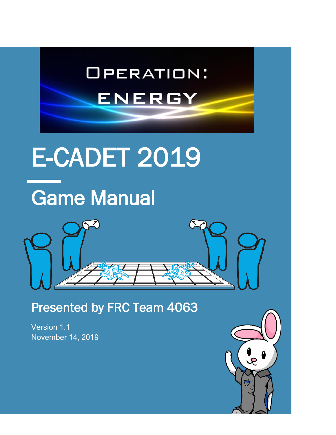

Presented by FRC Team 4063

Version 1.1 November 14, 2019

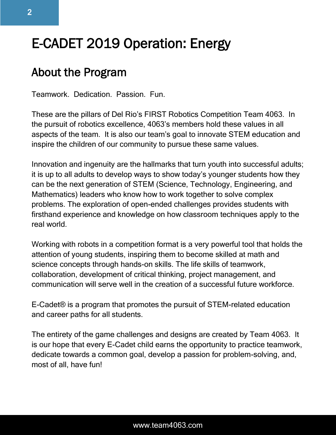# E-CADET 2019 Operation: Energy

# About the Program

Teamwork. Dedication. Passion. Fun.

These are the pillars of Del Rio's FIRST Robotics Competition Team 4063. In the pursuit of robotics excellence, 4063's members hold these values in all aspects of the team. It is also our team's goal to innovate STEM education and inspire the children of our community to pursue these same values.

Innovation and ingenuity are the hallmarks that turn youth into successful adults; it is up to all adults to develop ways to show today's younger students how they can be the next generation of STEM (Science, Technology, Engineering, and Mathematics) leaders who know how to work together to solve complex problems. The exploration of open-ended challenges provides students with firsthand experience and knowledge on how classroom techniques apply to the real world.

Working with robots in a competition format is a very powerful tool that holds the attention of young students, inspiring them to become skilled at math and science concepts through hands-on skills. The life skills of teamwork, collaboration, development of critical thinking, project management, and communication will serve well in the creation of a successful future workforce.

E-Cadet® is a program that promotes the pursuit of STEM-related education and career paths for all students.

The entirety of the game challenges and designs are created by Team 4063. It is our hope that every E-Cadet child earns the opportunity to practice teamwork, dedicate towards a common goal, develop a passion for problem-solving, and, most of all, have fun!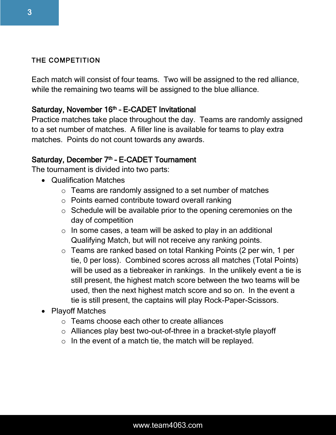#### THE COMPETITION

Each match will consist of four teams. Two will be assigned to the red alliance, while the remaining two teams will be assigned to the blue alliance.

# Saturday, November 16<sup>th</sup> - E-CADET Invitational

Practice matches take place throughout the day. Teams are randomly assigned to a set number of matches. A filler line is available for teams to play extra matches. Points do not count towards any awards.

# Saturday, December 7<sup>th</sup> - E-CADET Tournament

The tournament is divided into two parts:

- Qualification Matches
	- o Teams are randomly assigned to a set number of matches
	- o Points earned contribute toward overall ranking
	- o Schedule will be available prior to the opening ceremonies on the day of competition
	- $\circ$  In some cases, a team will be asked to play in an additional Qualifying Match, but will not receive any ranking points.
	- o Teams are ranked based on total Ranking Points (2 per win, 1 per tie, 0 per loss). Combined scores across all matches (Total Points) will be used as a tiebreaker in rankings. In the unlikely event a tie is still present, the highest match score between the two teams will be used, then the next highest match score and so on. In the event a tie is still present, the captains will play Rock-Paper-Scissors.
- Playoff Matches
	- o Teams choose each other to create alliances
	- o Alliances play best two-out-of-three in a bracket-style playoff
	- $\circ$  In the event of a match tie, the match will be replayed.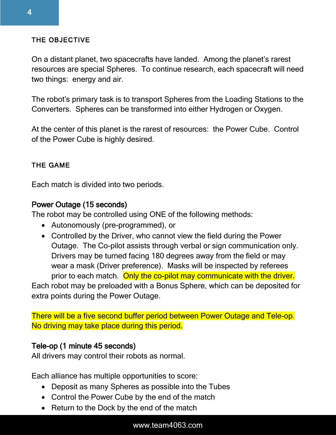# THE OBJECTIVE

On a distant planet, two spacecrafts have landed. Among the planet's rarest resources are special Spheres. To continue research, each spacecraft will need two things: energy and air.

The robot's primary task is to transport Spheres from the Loading Stations to the Converters. Spheres can be transformed into either Hydrogen or Oxygen.

At the center of this planet is the rarest of resources: the Power Cube. Control of the Power Cube is highly desired.

# THE GAME

Each match is divided into two periods.

# Power Outage (15 seconds)

The robot may be controlled using ONE of the following methods:

- Autonomously (pre-programmed), or
- Controlled by the Driver, who cannot view the field during the Power Outage. The Co-pilot assists through verbal or sign communication only. Drivers may be turned facing 180 degrees away from the field or may wear a mask (Driver preference). Masks will be inspected by referees prior to each match. Only the co-pilot may communicate with the driver.

Each robot may be preloaded with a Bonus Sphere, which can be deposited for extra points during the Power Outage.

There will be a five second buffer period between Power Outage and Tele-op. No driving may take place during this period.

# Tele-op (1 minute 45 seconds)

All drivers may control their robots as normal.

Each alliance has multiple opportunities to score:

- Deposit as many Spheres as possible into the Tubes
- Control the Power Cube by the end of the match
- Return to the Dock by the end of the match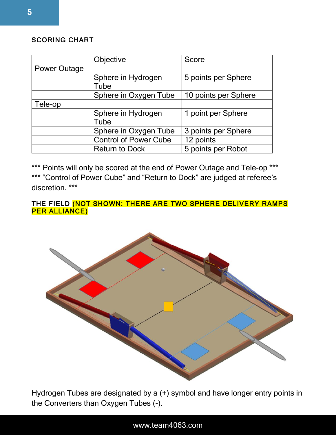#### SCORING CHART

|                     | Objective                    | Score                |
|---------------------|------------------------------|----------------------|
| <b>Power Outage</b> |                              |                      |
|                     | Sphere in Hydrogen           | 5 points per Sphere  |
|                     | Tube                         |                      |
|                     | Sphere in Oxygen Tube        | 10 points per Sphere |
| Tele-op             |                              |                      |
|                     | Sphere in Hydrogen           | 1 point per Sphere   |
|                     | Tube                         |                      |
|                     | Sphere in Oxygen Tube        | 3 points per Sphere  |
|                     | <b>Control of Power Cube</b> | 12 points            |
|                     | <b>Return to Dock</b>        | 5 points per Robot   |

\*\*\* Points will only be scored at the end of Power Outage and Tele-op \*\*\* \*\*\* "Control of Power Cube" and "Return to Dock" are judged at referee's discretion. \*\*\*

#### THE FIELD (NOT SHOWN: THERE ARE TWO SPHERE DELIVERY RAMPS PER ALLIANCE)



Hydrogen Tubes are designated by a (+) symbol and have longer entry points in the Converters than Oxygen Tubes (-).

#### www.team4063.com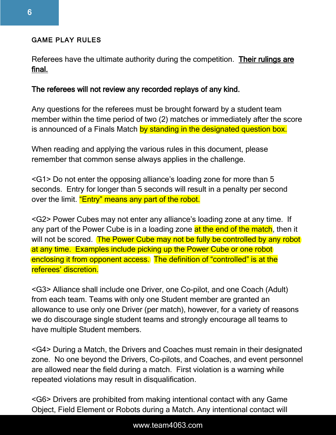#### GAME PLAY RULES

Referees have the ultimate authority during the competition. Their rulings are final.

#### The referees will not review any recorded replays of any kind.

Any questions for the referees must be brought forward by a student team member within the time period of two (2) matches or immediately after the score is announced of a Finals Match by standing in the designated question box.

When reading and applying the various rules in this document, please remember that common sense always applies in the challenge.

<G1> Do not enter the opposing alliance's loading zone for more than 5 seconds. Entry for longer than 5 seconds will result in a penalty per second over the limit. "Entry" means any part of the robot.

<G2> Power Cubes may not enter any alliance's loading zone at any time. If any part of the Power Cube is in a loading zone at the end of the match, then it will not be scored. The Power Cube may not be fully be controlled by any robot at any time. Examples include picking up the Power Cube or one robot enclosing it from opponent access. The definition of "controlled" is at the referees' discretion.

<G3> Alliance shall include one Driver, one Co-pilot, and one Coach (Adult) from each team. Teams with only one Student member are granted an allowance to use only one Driver (per match), however, for a variety of reasons we do discourage single student teams and strongly encourage all teams to have multiple Student members.

<G4> During a Match, the Drivers and Coaches must remain in their designated zone. No one beyond the Drivers, Co-pilots, and Coaches, and event personnel are allowed near the field during a match. First violation is a warning while repeated violations may result in disqualification.

<G6> Drivers are prohibited from making intentional contact with any Game Object, Field Element or Robots during a Match. Any intentional contact will

#### www.team4063.com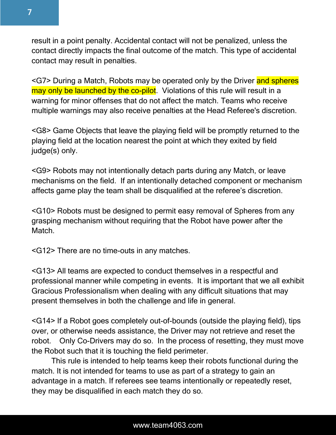

result in a point penalty. Accidental contact will not be penalized, unless the contact directly impacts the final outcome of the match. This type of accidental contact may result in penalties.

<G7> During a Match, Robots may be operated only by the Driver and spheres may only be launched by the co-pilot. Violations of this rule will result in a warning for minor offenses that do not affect the match. Teams who receive multiple warnings may also receive penalties at the Head Referee's discretion.

<G8> Game Objects that leave the playing field will be promptly returned to the playing field at the location nearest the point at which they exited by field judge(s) only.

<G9> Robots may not intentionally detach parts during any Match, or leave mechanisms on the field. If an intentionally detached component or mechanism affects game play the team shall be disqualified at the referee's discretion.

<G10> Robots must be designed to permit easy removal of Spheres from any grasping mechanism without requiring that the Robot have power after the Match.

<G12> There are no time-outs in any matches.

<G13> All teams are expected to conduct themselves in a respectful and professional manner while competing in events. It is important that we all exhibit Gracious Professionalism when dealing with any difficult situations that may present themselves in both the challenge and life in general.

<G14> If a Robot goes completely out-of-bounds (outside the playing field), tips over, or otherwise needs assistance, the Driver may not retrieve and reset the robot. Only Co-Drivers may do so. In the process of resetting, they must move the Robot such that it is touching the field perimeter.

This rule is intended to help teams keep their robots functional during the match. It is not intended for teams to use as part of a strategy to gain an advantage in a match. If referees see teams intentionally or repeatedly reset, they may be disqualified in each match they do so.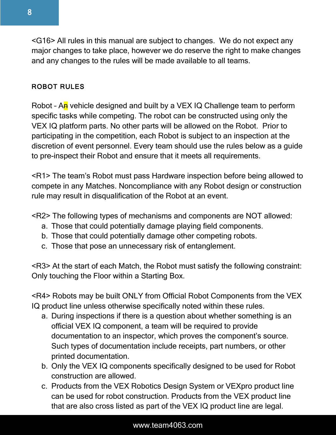<G16> All rules in this manual are subject to changes. We do not expect any major changes to take place, however we do reserve the right to make changes and any changes to the rules will be made available to all teams.

# ROBOT RULES

Robot - An vehicle designed and built by a VEX IQ Challenge team to perform specific tasks while competing. The robot can be constructed using only the VEX IQ platform parts. No other parts will be allowed on the Robot. Prior to participating in the competition, each Robot is subject to an inspection at the discretion of event personnel. Every team should use the rules below as a guide to pre-inspect their Robot and ensure that it meets all requirements.

<R1> The team's Robot must pass Hardware inspection before being allowed to compete in any Matches. Noncompliance with any Robot design or construction rule may result in disqualification of the Robot at an event.

<R2> The following types of mechanisms and components are NOT allowed:

- a. Those that could potentially damage playing field components.
- b. Those that could potentially damage other competing robots.
- c. Those that pose an unnecessary risk of entanglement.

<R3> At the start of each Match, the Robot must satisfy the following constraint: Only touching the Floor within a Starting Box.

<R4> Robots may be built ONLY from Official Robot Components from the VEX IQ product line unless otherwise specifically noted within these rules.

- a. During inspections if there is a question about whether something is an official VEX IQ component, a team will be required to provide documentation to an inspector, which proves the component's source. Such types of documentation include receipts, part numbers, or other printed documentation.
- b. Only the VEX IQ components specifically designed to be used for Robot construction are allowed.
- c. Products from the VEX Robotics Design System or VEXpro product line can be used for robot construction. Products from the VEX product line that are also cross listed as part of the VEX IQ product line are legal.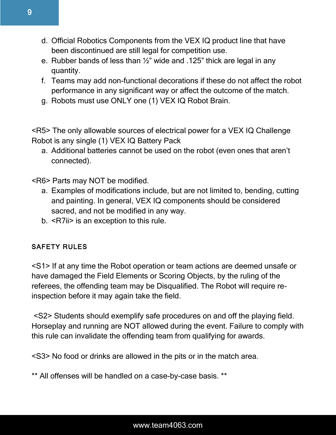- d. Official Robotics Components from the VEX IQ product line that have been discontinued are still legal for competition use.
- e. Rubber bands of less than ½" wide and .125" thick are legal in any quantity.
- f. Teams may add non-functional decorations if these do not affect the robot performance in any significant way or affect the outcome of the match.
- g. Robots must use ONLY one (1) VEX IQ Robot Brain.

<R5> The only allowable sources of electrical power for a VEX IQ Challenge Robot is any single (1) VEX IQ Battery Pack

a. Additional batteries cannot be used on the robot (even ones that aren't connected).

<R6> Parts may NOT be modified.

- a. Examples of modifications include, but are not limited to, bending, cutting and painting. In general, VEX IQ components should be considered sacred, and not be modified in any way.
- b. <R7ii> is an exception to this rule.

# SAFETY RULES

<S1> If at any time the Robot operation or team actions are deemed unsafe or have damaged the Field Elements or Scoring Objects, by the ruling of the referees, the offending team may be Disqualified. The Robot will require reinspection before it may again take the field.

<S2> Students should exemplify safe procedures on and off the playing field. Horseplay and running are NOT allowed during the event. Failure to comply with this rule can invalidate the offending team from qualifying for awards.

<S3> No food or drinks are allowed in the pits or in the match area.

\*\* All offenses will be handled on a case-by-case basis. \*\*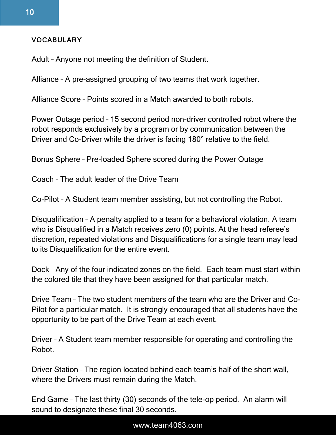#### VOCABULARY

Adult – Anyone not meeting the definition of Student.

Alliance – A pre-assigned grouping of two teams that work together.

Alliance Score – Points scored in a Match awarded to both robots.

Power Outage period – 15 second period non-driver controlled robot where the robot responds exclusively by a program or by communication between the Driver and Co-Driver while the driver is facing 180° relative to the field.

Bonus Sphere – Pre-loaded Sphere scored during the Power Outage

Coach – The adult leader of the Drive Team

Co-Pilot – A Student team member assisting, but not controlling the Robot.

Disqualification – A penalty applied to a team for a behavioral violation. A team who is Disqualified in a Match receives zero (0) points. At the head referee's discretion, repeated violations and Disqualifications for a single team may lead to its Disqualification for the entire event.

Dock – Any of the four indicated zones on the field. Each team must start within the colored tile that they have been assigned for that particular match.

Drive Team – The two student members of the team who are the Driver and Co-Pilot for a particular match. It is strongly encouraged that all students have the opportunity to be part of the Drive Team at each event.

Driver – A Student team member responsible for operating and controlling the Robot.

Driver Station – The region located behind each team's half of the short wall, where the Drivers must remain during the Match.

End Game – The last thirty (30) seconds of the tele-op period. An alarm will sound to designate these final 30 seconds.